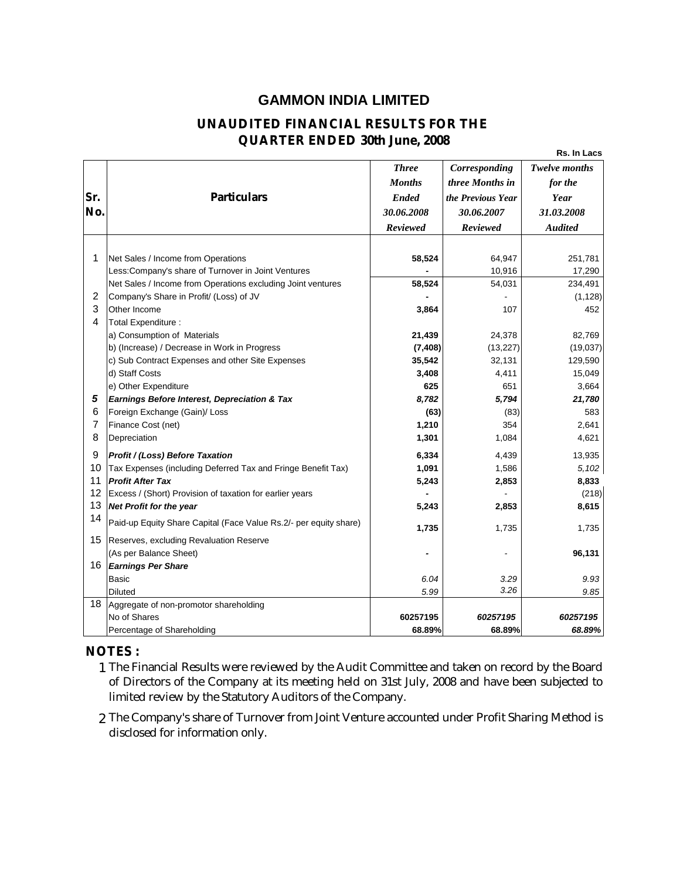## **GAMMON INDIA LIMITED**

## **UNAUDITED FINANCIAL RESULTS FOR THE QUARTER ENDED 30th June, 2008**

**Rs. In Lacs**

| <b>Months</b><br>three Months in<br>for the<br>Sr.<br>Particulars<br><b>Ended</b><br>Year<br>the Previous Year<br>No.<br>30.06.2008<br>30.06.2007<br>31.03.2008<br>Reviewed<br>Reviewed<br><b>Audited</b><br>1<br>Net Sales / Income from Operations<br>58,524<br>64,947<br>251,781<br>Less: Company's share of Turnover in Joint Ventures<br>10,916<br>Net Sales / Income from Operations excluding Joint ventures<br>58,524<br>54,031<br>$\overline{c}$<br>Company's Share in Profit/ (Loss) of JV<br>3<br>Other Income<br>3,864<br>107<br>4<br>Total Expenditure :<br>a) Consumption of Materials<br>21,439<br>24,378<br>b) (Increase) / Decrease in Work in Progress<br>(7, 408)<br>(13, 227)<br>35,542<br>c) Sub Contract Expenses and other Site Expenses<br>32,131<br>d) Staff Costs<br>3,408<br>4,411<br>625<br>e) Other Expenditure<br>651<br>5<br>Earnings Before Interest, Depreciation & Tax<br>8,782<br>5,794<br>6<br>Foreign Exchange (Gain)/ Loss<br>(63)<br>(83) |   |                    | <b>Three</b> | Corresponding | <b>Twelve months</b> |
|----------------------------------------------------------------------------------------------------------------------------------------------------------------------------------------------------------------------------------------------------------------------------------------------------------------------------------------------------------------------------------------------------------------------------------------------------------------------------------------------------------------------------------------------------------------------------------------------------------------------------------------------------------------------------------------------------------------------------------------------------------------------------------------------------------------------------------------------------------------------------------------------------------------------------------------------------------------------------------|---|--------------------|--------------|---------------|----------------------|
|                                                                                                                                                                                                                                                                                                                                                                                                                                                                                                                                                                                                                                                                                                                                                                                                                                                                                                                                                                                  |   |                    |              |               |                      |
|                                                                                                                                                                                                                                                                                                                                                                                                                                                                                                                                                                                                                                                                                                                                                                                                                                                                                                                                                                                  |   |                    |              |               |                      |
|                                                                                                                                                                                                                                                                                                                                                                                                                                                                                                                                                                                                                                                                                                                                                                                                                                                                                                                                                                                  |   |                    |              |               |                      |
|                                                                                                                                                                                                                                                                                                                                                                                                                                                                                                                                                                                                                                                                                                                                                                                                                                                                                                                                                                                  |   |                    |              |               |                      |
|                                                                                                                                                                                                                                                                                                                                                                                                                                                                                                                                                                                                                                                                                                                                                                                                                                                                                                                                                                                  |   |                    |              |               |                      |
|                                                                                                                                                                                                                                                                                                                                                                                                                                                                                                                                                                                                                                                                                                                                                                                                                                                                                                                                                                                  |   |                    |              |               |                      |
|                                                                                                                                                                                                                                                                                                                                                                                                                                                                                                                                                                                                                                                                                                                                                                                                                                                                                                                                                                                  |   |                    |              |               | 17,290               |
|                                                                                                                                                                                                                                                                                                                                                                                                                                                                                                                                                                                                                                                                                                                                                                                                                                                                                                                                                                                  |   |                    |              |               | 234,491              |
|                                                                                                                                                                                                                                                                                                                                                                                                                                                                                                                                                                                                                                                                                                                                                                                                                                                                                                                                                                                  |   |                    |              |               | (1, 128)             |
|                                                                                                                                                                                                                                                                                                                                                                                                                                                                                                                                                                                                                                                                                                                                                                                                                                                                                                                                                                                  |   |                    |              |               | 452                  |
|                                                                                                                                                                                                                                                                                                                                                                                                                                                                                                                                                                                                                                                                                                                                                                                                                                                                                                                                                                                  |   |                    |              |               |                      |
|                                                                                                                                                                                                                                                                                                                                                                                                                                                                                                                                                                                                                                                                                                                                                                                                                                                                                                                                                                                  |   |                    |              |               | 82,769               |
|                                                                                                                                                                                                                                                                                                                                                                                                                                                                                                                                                                                                                                                                                                                                                                                                                                                                                                                                                                                  |   |                    |              |               | (19,037)             |
|                                                                                                                                                                                                                                                                                                                                                                                                                                                                                                                                                                                                                                                                                                                                                                                                                                                                                                                                                                                  |   |                    |              |               | 129,590              |
|                                                                                                                                                                                                                                                                                                                                                                                                                                                                                                                                                                                                                                                                                                                                                                                                                                                                                                                                                                                  |   |                    |              |               | 15,049               |
|                                                                                                                                                                                                                                                                                                                                                                                                                                                                                                                                                                                                                                                                                                                                                                                                                                                                                                                                                                                  |   |                    |              |               | 3,664                |
|                                                                                                                                                                                                                                                                                                                                                                                                                                                                                                                                                                                                                                                                                                                                                                                                                                                                                                                                                                                  |   |                    |              |               | 21,780               |
|                                                                                                                                                                                                                                                                                                                                                                                                                                                                                                                                                                                                                                                                                                                                                                                                                                                                                                                                                                                  |   |                    |              |               | 583                  |
|                                                                                                                                                                                                                                                                                                                                                                                                                                                                                                                                                                                                                                                                                                                                                                                                                                                                                                                                                                                  | 7 | Finance Cost (net) | 1,210        | 354           | 2,641                |
| 8<br>Depreciation<br>1,301<br>1,084                                                                                                                                                                                                                                                                                                                                                                                                                                                                                                                                                                                                                                                                                                                                                                                                                                                                                                                                              |   |                    |              |               | 4,621                |
| 9<br>Profit / (Loss) Before Taxation<br>6,334<br>4,439                                                                                                                                                                                                                                                                                                                                                                                                                                                                                                                                                                                                                                                                                                                                                                                                                                                                                                                           |   |                    |              |               | 13,935               |
| 10<br>Tax Expenses (including Deferred Tax and Fringe Benefit Tax)<br>1,091<br>1,586                                                                                                                                                                                                                                                                                                                                                                                                                                                                                                                                                                                                                                                                                                                                                                                                                                                                                             |   |                    |              |               | 5,102                |
| 11<br><b>Profit After Tax</b><br>5,243<br>2,853                                                                                                                                                                                                                                                                                                                                                                                                                                                                                                                                                                                                                                                                                                                                                                                                                                                                                                                                  |   |                    |              |               | 8,833                |
| 12<br>Excess / (Short) Provision of taxation for earlier years                                                                                                                                                                                                                                                                                                                                                                                                                                                                                                                                                                                                                                                                                                                                                                                                                                                                                                                   |   |                    |              |               | (218)                |
| 13<br>Net Profit for the year<br>5,243<br>2,853                                                                                                                                                                                                                                                                                                                                                                                                                                                                                                                                                                                                                                                                                                                                                                                                                                                                                                                                  |   |                    |              |               | 8,615                |
| 14<br>Paid-up Equity Share Capital (Face Value Rs.2/- per equity share)                                                                                                                                                                                                                                                                                                                                                                                                                                                                                                                                                                                                                                                                                                                                                                                                                                                                                                          |   |                    |              |               |                      |
| 1,735<br>1,735                                                                                                                                                                                                                                                                                                                                                                                                                                                                                                                                                                                                                                                                                                                                                                                                                                                                                                                                                                   |   |                    |              |               | 1,735                |
| 15<br>Reserves, excluding Revaluation Reserve                                                                                                                                                                                                                                                                                                                                                                                                                                                                                                                                                                                                                                                                                                                                                                                                                                                                                                                                    |   |                    |              |               |                      |
| (As per Balance Sheet)                                                                                                                                                                                                                                                                                                                                                                                                                                                                                                                                                                                                                                                                                                                                                                                                                                                                                                                                                           |   |                    |              |               | 96,131               |
| 16<br><b>Earnings Per Share</b>                                                                                                                                                                                                                                                                                                                                                                                                                                                                                                                                                                                                                                                                                                                                                                                                                                                                                                                                                  |   |                    |              |               |                      |
| <b>Basic</b><br>6.04<br>3.29<br>3.26                                                                                                                                                                                                                                                                                                                                                                                                                                                                                                                                                                                                                                                                                                                                                                                                                                                                                                                                             |   |                    |              |               | 9.93                 |
| 5.99<br><b>Diluted</b>                                                                                                                                                                                                                                                                                                                                                                                                                                                                                                                                                                                                                                                                                                                                                                                                                                                                                                                                                           |   |                    |              |               | 9.85                 |
| 18 Aggregate of non-promotor shareholding<br>No of Shares<br>60257195<br>60257195                                                                                                                                                                                                                                                                                                                                                                                                                                                                                                                                                                                                                                                                                                                                                                                                                                                                                                |   |                    |              |               |                      |
| Percentage of Shareholding<br>68.89%<br>68.89%                                                                                                                                                                                                                                                                                                                                                                                                                                                                                                                                                                                                                                                                                                                                                                                                                                                                                                                                   |   |                    |              |               | 60257195<br>68.89%   |

## **NOTES :**

- 1 The Financial Results were reviewed by the Audit Committee and taken on record by the Board of Directors of the Company at its meeting held on 31st July, 2008 and have been subjected to limited review by the Statutory Auditors of the Company.
- 2 The Company's share of Turnover from Joint Venture accounted under Profit Sharing Method is disclosed for information only.